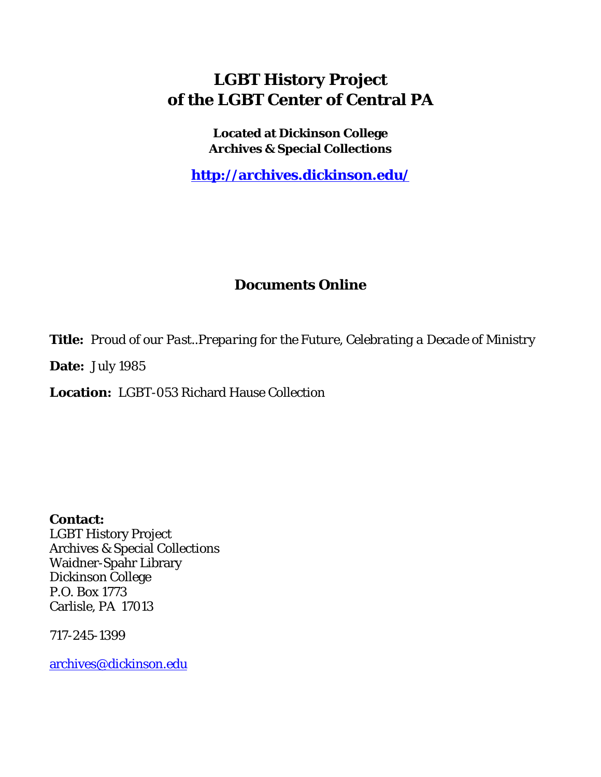### **LGBT History Project of the LGBT Center of Central PA**

**Located at Dickinson College Archives & Special Collections**

**<http://archives.dickinson.edu/>**

### **Documents Online**

**Title:** *Proud of our Past..Preparing for the Future, Celebrating a Decade of Ministry*

**Date:** July 1985

**Location:** LGBT-053 Richard Hause Collection

**Contact:**  LGBT History Project Archives & Special Collections Waidner-Spahr Library Dickinson College P.O. Box 1773 Carlisle, PA 17013

717-245-1399

[archives@dickinson.edu](mailto:archives@dickinson.edu)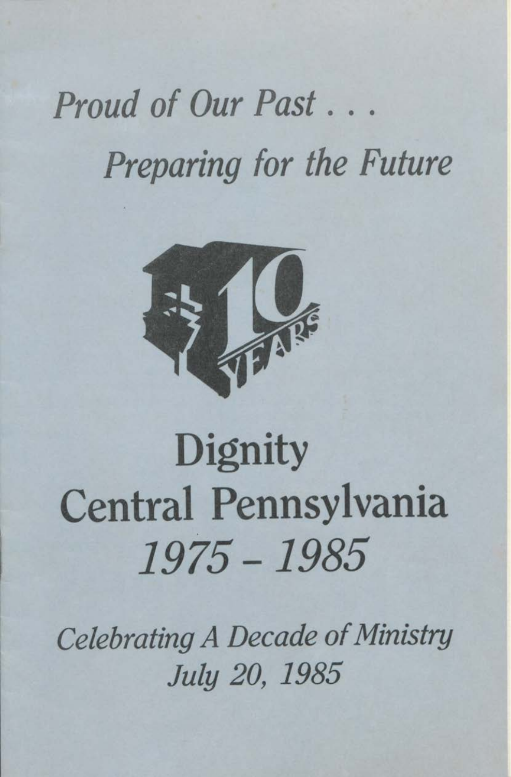## *Proud of Our Past. . . Preparing for the Future*



## **Dignity** Central Pennsylvania *1975 -1985*

*Celebrating A Decade ofMinistry July 20, 1985*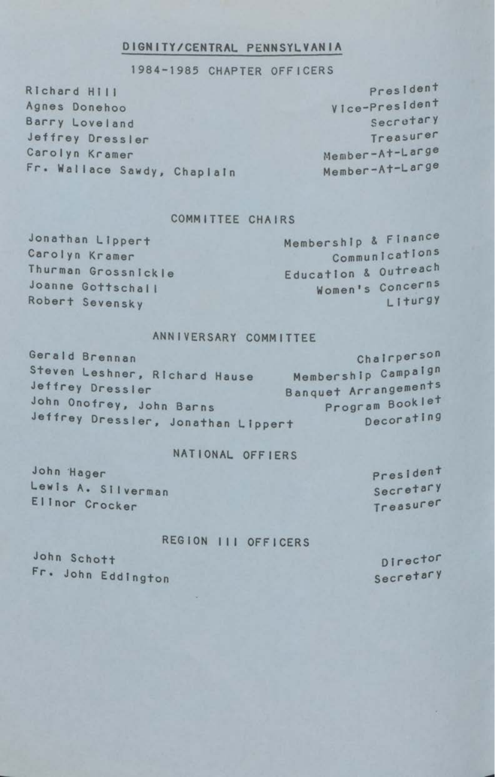#### **<sup>D</sup> IGNITY/CENTRAL PENNSYLVANIA**

#### 1984-1985 CHAPTER OFFICERS

Richard Hill Agnes Donehoo Barry Loveland Jeffrey Dressier Carolyn Kramer Fr. Wallace Sawdy, Chaplain

Pres Ident <sup>V</sup> Ice-PresI dent Secretar <sup>y</sup> Treasurer Member-At-Large Member-At-Large

#### COMMITTEE CHAIRS

Jonathan Lippert Carolyn Kramer Thurman Grossnickle Joanne GottschaI <sup>I</sup> Robert Sevensky

Membership & Finance Communications Education & Outreach Women's Concerns Liturgy

Gerald Brennan<br>Steven Leshner, Richard Hause Membership Campaign Steven Leshner, Richard Hause<br>Jeffrey Dressler Banquet Arrangements<br>Program Booklet John Onofrey, John Barns Program Booklet<br>Jeffrey Dressler, Jonathan Linessin Conorating Jeffrey Dressler, Jonathan Lippert

### NATIONAL OFFIERS

John Hager President Lewis A. Silverman Secretary Elinor Crocker Treasurer

### REGION III OFFICERS

John Schott Fr« John Eddington

Director Secretary

### ANNIVERSARY COMMITTEE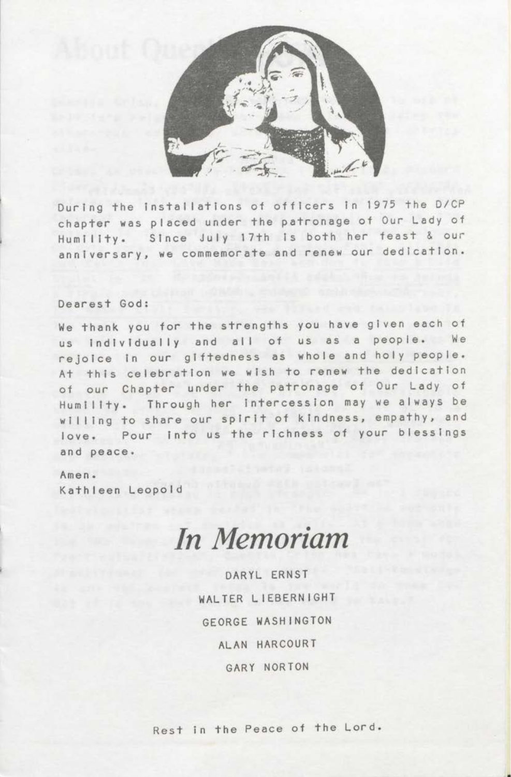

During the installations of officers in <sup>1975</sup> the D/CP chapter was placed under the patronage of Our Lady of Humility. Since July 17th is both her feast & our anniversary, we commemorate and renew our dedication.

#### Dearest God:

We thank you for the strengths you have given each of us individually and all of us as <sup>a</sup> people. We rejoice in our giftedness as whole and holy people. At this celebration we wish to renew the dedication of our Chapter under the patronage of Our Lady of Humility. Through her intercession may we always be willing to share our spirit of kindness, empathy, and love. Pour into us the richness of your blessings and peace.

Amen . Kathleen Leopold

### *In Memoriam*

DARYL ERNST WALTER LIEBERNIGHT GEORGE WASHINGTON ALAN HARCOURT GARY NORTON

Rest in the Peace of the Lord.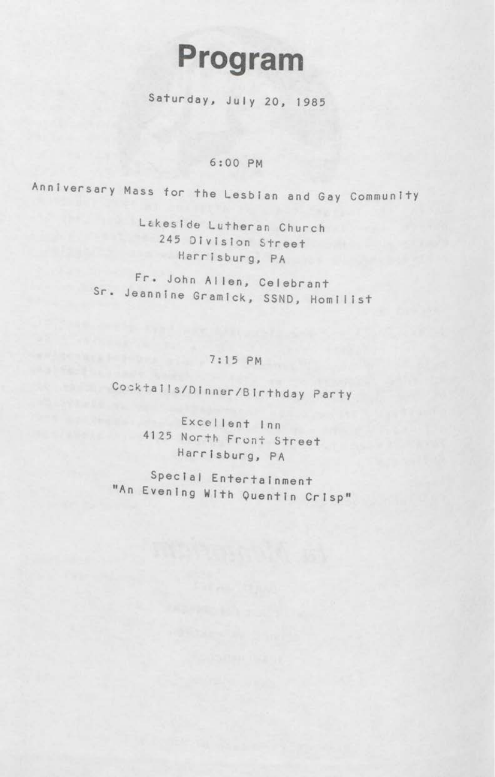## Program

Saturday, July 20, 1985

### 6:00 PM

Anniversary Mass for the Lesbian and Gay Community

Lakeside Lutheran Church 245 Division Street Harrisburg, PA

Fr. John Allen, Celebrant Sr. Jeannine Gramick, SSND, Homilist

### 7:15 PM

Cocktalls/DInner/Birthday Party

Excellent Inn 4125 North Front Street Harrisburg, PA

Special Entertainment A<sup>n</sup> Evening With Quentin Crisp"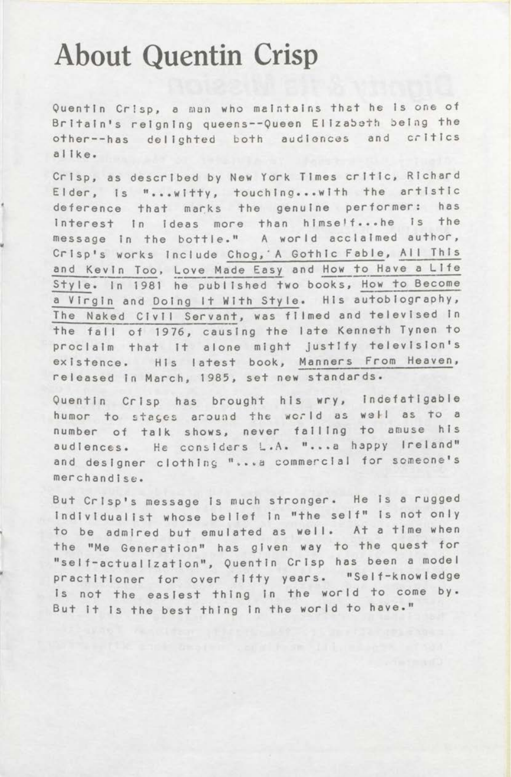### About Quentin Crisp

Quentin Crisp, <sup>a</sup> man who maintains that he Is one of Britain's reigning queens--Queen Elizabeth being the other--has delighted both audiences and critics al Ike.

Crisp, as described by New York Times critic, Richard Elder, Is "...witty, touching...with the artistic deference that marks the genuine performer: has interest In ideas more than himself...he is the message in the bottle." <sup>A</sup> world acclaimed author, Crisp's works Include Chog,'A Gothic Fable, All This and <sup>K</sup>evin Too, Love Made Easy and How to Have <sup>a</sup> Life Sty Ie. In <sup>1981</sup> he published two books, How to Become <sup>a</sup> Virgin and Doing It With Style. His autobiography, The Naked Civil Servant, was filmed and televised in the fall of 1976, causing the late Kenneth Tynen to proclaim that It alone might Justify television's existence. His latest book, Manners From Heaven, released in March, 1985, set new standards.

Quentin Crisp has brought his wry, indefatigable humor to stages around the world as well as to a number of talk shows, never falling to amuse his audiences. He considers L.A. "...a happy Ireland" and designer clothing "...a commercial for someone's merchandIse.

But Crisp's message is much stronger. He is <sup>a</sup> rugged individualist whose belief in "the self" Is not only to be admired but emulated as well. At <sup>a</sup> time when the "Me Generation" has given way to the quest for "self-actualization", Quentin Crisp has been a model practitioner for over fifty years. "Self-knowledge is not the easiest thing in the world to come by. But it is the best thing in the world to have."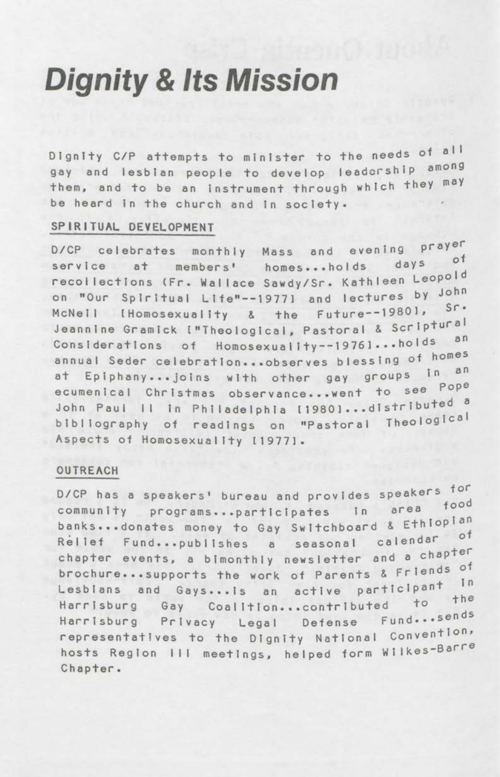### **Dignity & Its Mission**

Dignity C/P attempts to minister to the needs of all gay and lesbian people to develop leadership among them, and to be an instrument through which they may be heard in the church and in society.

### SPIRITUAL DEVELOPMENT

D/CP celebrates monthly Mass and evening prayer service at members' homes...holds days of recollections (Fr. Wallace Sawdy/Sr. Kathleen Leopold on "Our Spiritual Life"--1977] and lectures by John McNell IHomosexuality & the Future--19801, Sr. Jeannine Gramick ["Theological, Pastoral & Scriptural Considerations of Homosexuality--19761...holds an annual Seder celebration...observes blessing of homes at Epiphany...joins with other gay groups in an ecumenical Christmas observance...went to see Pope John Paul II In Philadelphia [1980]...distributed a bibliography of readings on "Pastoral Theological Aspects of Homosexuality [1977].

#### **OUTREACH**

D/CP has a speakers' bureau and provides speakers for community programs...participates in area food banks...donates money to Gay Switchboard & Ethiopian seasonal calendar of Rellef Fund...publishes a chapter events, a bimonthly newsletter and a chapter brochure...supports the work of Parents & Friends of Lesblans and Gays...is an active participant in Harrisburg Gay Coalition...contributed to the Harrisburg Privacy Legal Defense Fund...sends representatives to the Dignity National Convention, hosts Region III meetings, helped form Wilkes-Barre Chapter.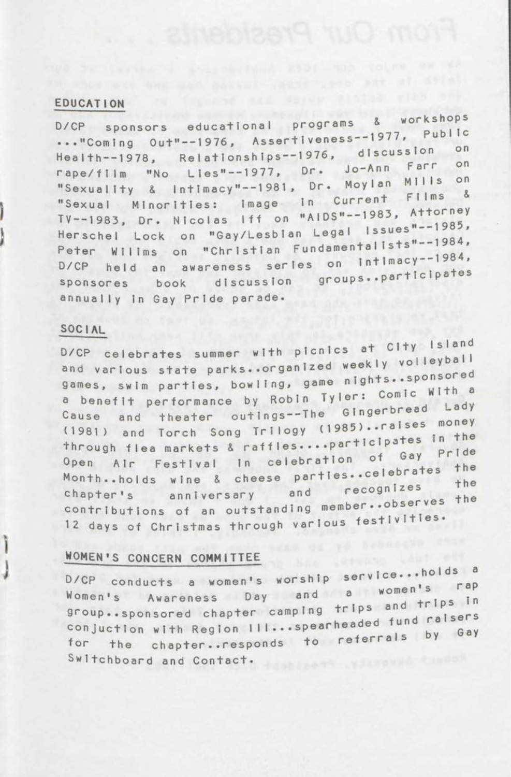#### **EDUCATION**

workshops D/CP sponsors educational programs & ..."Coming Out"--1976, Assertiveness--1977, Public Health--1978, Relationships--1976, discussion Farr  $\circ$ n rape/flim "No Lies"--1977, Dr. Jo-Ann MIIIs  $O<sub>n</sub>$ "Sexuality & Intimacy"--1981, Dr. Moylan "Sexual Minorities: image in Current Films  $8$ TV--1983, Dr. Nicolas Iff on "AIDS"--1983, Attorney Herschel Lock on "Gay/Lesbian Legal Issues"--1985, Peter Willms on "Christian Fundamentalists"--1984, D/CP held an awareness series on intimacy--1984, sponsores book discussion groups..participates annually in Gay Pride parade.

#### SOCIAL

Ĭ

D/CP celebrates summer with picnics at City Island and various state parks..organized weekly volleyball games, swim parties, bowling, game nights..sponsored a benefit performance by Robin Tyler: Comic With a and theater outings--The Gingerbread Lady Cause (1981) and Torch Song Trilogy (1985)..raises money through flea markets & raffles....participates in the Open Air Festival in celebration of Gay Pride Month..holds wine & cheese parties..celebrates the anniversary and recognizes chapter's contributions of an outstanding member..observes the 12 days of Christmas through various festivities.

#### WOMEN'S CONCERN COMMITTEE

D/CP conducts a women's worship service...holds a Women's Awareness Day and a women's rap group..sponsored chapter camping trips and trips in conjuction with Region III...spearheaded fund raisers the chapter..responds to referrals by Gay for Switchboard and Contact.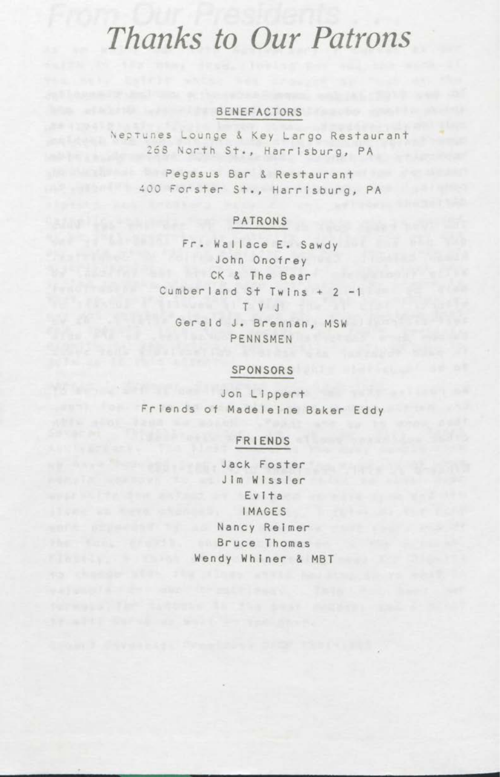### *Thanks to Our Patrons*

### **BENEFACTORS**

Neptunes Lounge & Key Largo Restaurant <sup>268</sup> North St., Harrisburg, PA

Pegasus Bar & Restaurant <sup>400</sup> Forster St., Harrisburg, PA

### PATRONS

Fr. Wallace E. Sawdy John Onofrey CK & The Bear Cumberland St Twins +2-1 T V J Gerald J. Brennan, MSW PENNSMEN

### **SPONSORS**

Jon Lippert Friends of Madeleine Baker Eddy

### FRIENDS

Jack Foster Jim Wissier <sup>E</sup> <sup>v</sup> <sup>i</sup> t <sup>a</sup> **IMAGES** Nancy Reimer Bruce Thomas **Bruce** Thomas **Bruce Wendy Whiner & MBT**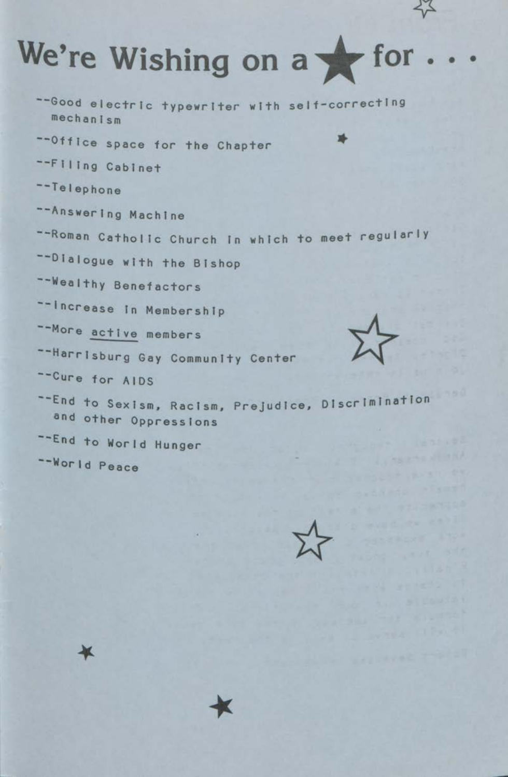# We're Wishing on a for...

--Good electric typewriter with self-correcting mechanism

-- Office space for the Chapter

--Filing Cabinet

--Telephone

-- Answering Machine

-- Roman Catholic Church in which to meet regularly

-- Dialogue with the Bishop

-- Wealthy Benefactors

-- Increase In Membership

-- More active members

--Harrisburg Gay Community Center

-Cure for AIDS

--End to Sexism, Racism, Prejudice, Discrimination and other Oppressions

-- End to World Hunger

-- World Peace